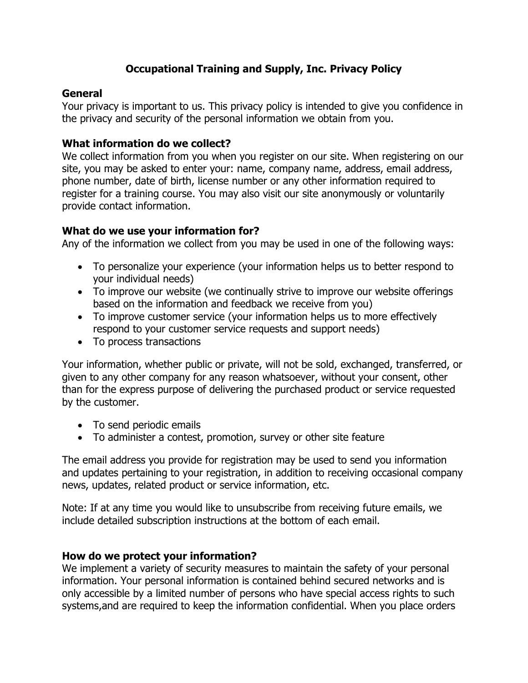# **Occupational Training and Supply, Inc. Privacy Policy**

## **General**

Your privacy is important to us. This privacy policy is intended to give you confidence in the privacy and security of the personal information we obtain from you.

# **What information do we collect?**

We collect information from you when you register on our site. When registering on our site, you may be asked to enter your: name, company name, address, email address, phone number, date of birth, license number or any other information required to register for a training course. You may also visit our site anonymously or voluntarily provide contact information.

# **What do we use your information for?**

Any of the information we collect from you may be used in one of the following ways:

- To personalize your experience (your information helps us to better respond to your individual needs)
- To improve our website (we continually strive to improve our website offerings based on the information and feedback we receive from you)
- To improve customer service (your information helps us to more effectively respond to your customer service requests and support needs)
- To process transactions

Your information, whether public or private, will not be sold, exchanged, transferred, or given to any other company for any reason whatsoever, without your consent, other than for the express purpose of delivering the purchased product or service requested by the customer.

- To send periodic emails
- To administer a contest, promotion, survey or other site feature

The email address you provide for registration may be used to send you information and updates pertaining to your registration, in addition to receiving occasional company news, updates, related product or service information, etc.

Note: If at any time you would like to unsubscribe from receiving future emails, we include detailed subscription instructions at the bottom of each email.

### **How do we protect your information?**

We implement a variety of security measures to maintain the safety of your personal information. Your personal information is contained behind secured networks and is only accessible by a limited number of persons who have special access rights to such systems,and are required to keep the information confidential. When you place orders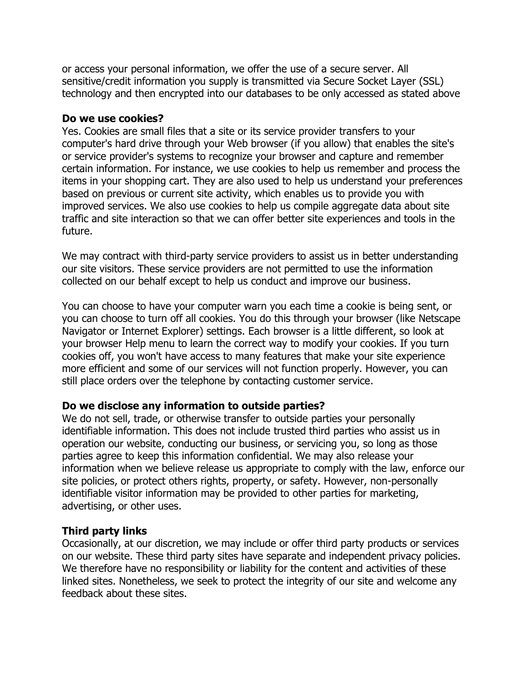or access your personal information, we offer the use of a secure server. All sensitive/credit information you supply is transmitted via Secure Socket Layer (SSL) technology and then encrypted into our databases to be only accessed as stated above

#### **Do we use cookies?**

Yes. Cookies are small files that a site or its service provider transfers to your computer's hard drive through your Web browser (if you allow) that enables the site's or service provider's systems to recognize your browser and capture and remember certain information. For instance, we use cookies to help us remember and process the items in your shopping cart. They are also used to help us understand your preferences based on previous or current site activity, which enables us to provide you with improved services. We also use cookies to help us compile aggregate data about site traffic and site interaction so that we can offer better site experiences and tools in the future.

We may contract with third-party service providers to assist us in better understanding our site visitors. These service providers are not permitted to use the information collected on our behalf except to help us conduct and improve our business.

You can choose to have your computer warn you each time a cookie is being sent, or you can choose to turn off all cookies. You do this through your browser (like Netscape Navigator or Internet Explorer) settings. Each browser is a little different, so look at your browser Help menu to learn the correct way to modify your cookies. If you turn cookies off, you won't have access to many features that make your site experience more efficient and some of our services will not function properly. However, you can still place orders over the telephone by contacting customer service.

### **Do we disclose any information to outside parties?**

We do not sell, trade, or otherwise transfer to outside parties your personally identifiable information. This does not include trusted third parties who assist us in operation our website, conducting our business, or servicing you, so long as those parties agree to keep this information confidential. We may also release your information when we believe release us appropriate to comply with the law, enforce our site policies, or protect others rights, property, or safety. However, non-personally identifiable visitor information may be provided to other parties for marketing, advertising, or other uses.

### **Third party links**

Occasionally, at our discretion, we may include or offer third party products or services on our website. These third party sites have separate and independent privacy policies. We therefore have no responsibility or liability for the content and activities of these linked sites. Nonetheless, we seek to protect the integrity of our site and welcome any feedback about these sites.